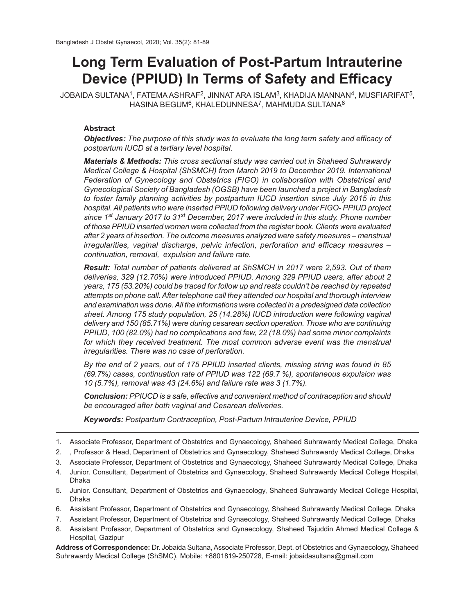# **Long Term Evaluation of Post-Partum Intrauterine Device (PPIUD) In Terms of Safety and Efficacy**

JOBAIDA SULTANA $^1$ , FATEMA ASHRAF $^2$ , JINNAT ARA ISLAM $^3$ , KHADIJA MANNAN $^4$ , MUSFIARIFAT $^5$ ,  $\mathsf{HASINA}$  BEGUM $^6$ , KHALEDUNNESA $^7$ , MAHMUDA SULTANA $^8$ 

## **Abstract**

*Objectives: The purpose of this study was to evaluate the long term safety and efficacy of postpartum IUCD at a tertiary level hospital.*

*Materials & Methods: This cross sectional study was carried out in Shaheed Suhrawardy Medical College & Hospital (ShSMCH) from March 2019 to December 2019. International Federation of Gynecology and Obstetrics (FIGO) in collaboration with Obstetrical and Gynecological Society of Bangladesh (OGSB) have been launched a project in Bangladesh to foster family planning activities by postpartum IUCD insertion since July 2015 in this hospital. All patients who were inserted PPIUD following delivery under FIGO- PPIUD project since 1st January 2017 to 31st December, 2017 were included in this study. Phone number of those PPIUD inserted women were collected from the register book. Clients were evaluated after 2 years of insertion. The outcome measures analyzed were safety measures – menstrual irregularities, vaginal discharge, pelvic infection, perforation and efficacy measures – continuation, removal, expulsion and failure rate.*

*Result: Total number of patients delivered at ShSMCH in 2017 were 2,593. Out of them deliveries, 329 (12.70%) were introduced PPIUD. Among 329 PPIUD users, after about 2 years, 175 (53.20%) could be traced for follow up and rests couldn't be reached by repeated attempts on phone call. After telephone call they attended our hospital and thorough interview and examination was done. All the informations were collected in a predesigned data collection sheet. Among 175 study population, 25 (14.28%) IUCD introduction were following vaginal delivery and 150 (85.71%) were during cesarean section operation. Those who are continuing PPIUD, 100 (82.0%) had no complications and few, 22 (18.0%) had some minor complaints for which they received treatment. The most common adverse event was the menstrual irregularities. There was no case of perforation.*

*By the end of 2 years, out of 175 PPIUD inserted clients, missing string was found in 85 (69.7%) cases, continuation rate of PPIUD was 122 (69.7 %), spontaneous expulsion was 10 (5.7%), removal was 43 (24.6%) and failure rate was 3 (1.7%).*

*Conclusion: PPIUCD is a safe, effective and convenient method of contraception and should be encouraged after both vaginal and Cesarean deliveries.*

*Keywords: Postpartum Contraception, Post-Partum Intrauterine Device, PPIUD*

- 6. Assistant Professor, Department of Obstetrics and Gynaecology, Shaheed Suhrawardy Medical College, Dhaka
- 7. Assistant Professor, Department of Obstetrics and Gynaecology, Shaheed Suhrawardy Medical College, Dhaka
- 8. Assistant Professor, Department of Obstetrics and Gynaecology, Shaheed Tajuddin Ahmed Medical College & Hospital, Gazipur

**Address of Correspondence:** Dr. Jobaida Sultana, Associate Professor, Dept. of Obstetrics and Gynaecology, Shaheed Suhrawardy Medical College (ShSMC), Mobile: +8801819-250728, E-mail: jobaidasultana@gmail.com

<sup>1.</sup> Associate Professor, Department of Obstetrics and Gynaecology, Shaheed Suhrawardy Medical College, Dhaka

<sup>2.</sup> , Professor & Head, Department of Obstetrics and Gynaecology, Shaheed Suhrawardy Medical College, Dhaka

<sup>3.</sup> Associate Professor, Department of Obstetrics and Gynaecology, Shaheed Suhrawardy Medical College, Dhaka

<sup>4.</sup> Junior. Consultant, Department of Obstetrics and Gynaecology, Shaheed Suhrawardy Medical College Hospital, Dhaka

<sup>5.</sup> Junior. Consultant, Department of Obstetrics and Gynaecology, Shaheed Suhrawardy Medical College Hospital, Dhaka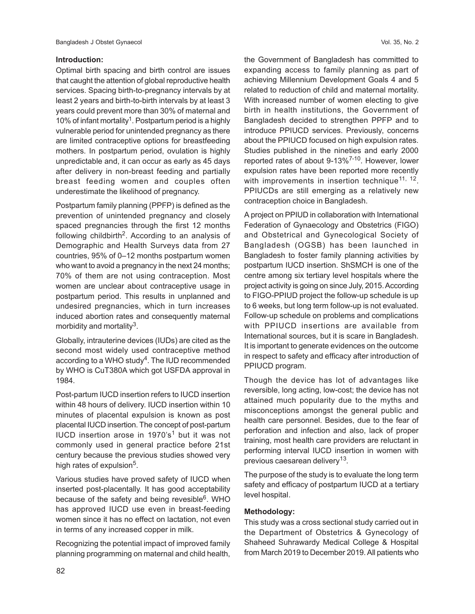## **Introduction:**

Optimal birth spacing and birth control are issues that caught the attention of global reproductive health services. Spacing birth-to-pregnancy intervals by at least 2 years and birth-to-birth intervals by at least 3 years could prevent more than 30% of maternal and 10% of infant mortality<sup>1</sup>. Postpartum period is a highly vulnerable period for unintended pregnancy as there are limited contraceptive options for breastfeeding mothers. In postpartum period, ovulation is highly unpredictable and, it can occur as early as 45 days after delivery in non-breast feeding and partially breast feeding women and couples often underestimate the likelihood of pregnancy.

Postpartum family planning (PPFP) is defined as the prevention of unintended pregnancy and closely spaced pregnancies through the first 12 months following childbirth<sup>2</sup>. According to an analysis of Demographic and Health Surveys data from 27 countries, 95% of 0–12 months postpartum women who want to avoid a pregnancy in the next 24 months; 70% of them are not using contraception. Most women are unclear about contraceptive usage in postpartum period. This results in unplanned and undesired pregnancies, which in turn increases induced abortion rates and consequently maternal morbidity and mortality<sup>3</sup>.

Globally, intrauterine devices (IUDs) are cited as the second most widely used contraceptive method according to a WHO study<sup>4</sup>. The IUD recommended by WHO is CuT380A which got USFDA approval in 1984.

Post-partum IUCD insertion refers to IUCD insertion within 48 hours of delivery. IUCD insertion within 10 minutes of placental expulsion is known as post placental IUCD insertion. The concept of post-partum IUCD insertion arose in 1970's<sup>1</sup> but it was not commonly used in general practice before 21st century because the previous studies showed very high rates of expulsion<sup>5</sup>.

Various studies have proved safety of IUCD when inserted post-placentally. It has good acceptability because of the safety and being revesible<sup>6</sup>. WHO has approved IUCD use even in breast-feeding women since it has no effect on lactation, not even in terms of any increased copper in milk.

Recognizing the potential impact of improved family planning programming on maternal and child health,

the Government of Bangladesh has committed to expanding access to family planning as part of achieving Millennium Development Goals 4 and 5 related to reduction of child and maternal mortality. With increased number of women electing to give birth in health institutions, the Government of Bangladesh decided to strengthen PPFP and to introduce PPIUCD services. Previously, concerns about the PPIUCD focused on high expulsion rates. Studies published in the nineties and early 2000 reported rates of about 9-13%7-10. However, lower expulsion rates have been reported more recently with improvements in insertion technique<sup>11, 12</sup>. PPIUCDs are still emerging as a relatively new contraception choice in Bangladesh.

A project on PPIUD in collaboration with International Federation of Gynaecology and Obstetrics (FIGO) and Obstetrical and Gynecological Society of Bangladesh (OGSB) has been launched in Bangladesh to foster family planning activities by postpartum IUCD insertion. ShSMCH is one of the centre among six tertiary level hospitals where the project activity is going on since July, 2015. According to FIGO-PPIUD project the follow-up schedule is up to 6 weeks, but long term follow-up is not evaluated. Follow-up schedule on problems and complications with PPIUCD insertions are available from International sources, but it is scare in Bangladesh. It is important to generate evidences on the outcome in respect to safety and efficacy after introduction of PPIUCD program.

Though the device has lot of advantages like reversible, long acting, low-cost; the device has not attained much popularity due to the myths and misconceptions amongst the general public and health care personnel. Besides, due to the fear of perforation and infection and also, lack of proper training, most health care providers are reluctant in performing interval IUCD insertion in women with previous caesarean delivery<sup>13</sup>.

The purpose of the study is to evaluate the long term safety and efficacy of postpartum IUCD at a tertiary level hospital.

# **Methodology:**

This study was a cross sectional study carried out in the Department of Obstetrics & Gynecology of Shaheed Suhrawardy Medical College & Hospital from March 2019 to December 2019. All patients who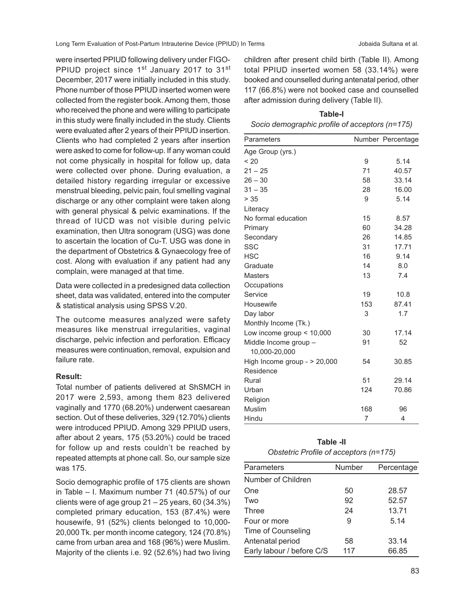were inserted PPIUD following delivery under FIGO-PPIUD project since 1<sup>st</sup> January 2017 to 31<sup>st</sup> December, 2017 were initially included in this study. Phone number of those PPIUD inserted women were collected from the register book. Among them, those who received the phone and were willing to participate in this study were finally included in the study. Clients were evaluated after 2 years of their PPIUD insertion. Clients who had completed 2 years after insertion were asked to come for follow-up. If any woman could not come physically in hospital for follow up, data were collected over phone. During evaluation, a detailed history regarding irregular or excessive menstrual bleeding, pelvic pain, foul smelling vaginal discharge or any other complaint were taken along with general physical & pelvic examinations. If the thread of IUCD was not visible during pelvic examination, then Ultra sonogram (USG) was done to ascertain the location of Cu-T. USG was done in the department of Obstetrics & Gynaecology free of cost. Along with evaluation if any patient had any complain, were managed at that time.

Data were collected in a predesigned data collection sheet, data was validated, entered into the computer & statistical analysis using SPSS V.20.

The outcome measures analyzed were safety measures like menstrual irregularities, vaginal discharge, pelvic infection and perforation. Efficacy measures were continuation, removal, expulsion and failure rate.

#### **Result:**

Total number of patients delivered at ShSMCH in 2017 were 2,593, among them 823 delivered vaginally and 1770 (68.20%) underwent caesarean section. Out of these deliveries, 329 (12.70%) clients were introduced PPIUD. Among 329 PPIUD users, after about 2 years, 175 (53.20%) could be traced for follow up and rests couldn't be reached by repeated attempts at phone call. So, our sample size was 175.

Socio demographic profile of 175 clients are shown in Table – I. Maximum number 71 (40.57%) of our clients were of age group 21 – 25 years, 60 (34.3%) completed primary education, 153 (87.4%) were housewife, 91 (52%) clients belonged to 10,000- 20,000 Tk. per month income category, 124 (70.8%) came from urban area and 168 (96%) were Muslim. Majority of the clients i.e. 92 (52.6%) had two living

children after present child birth (Table II). Among total PPIUD inserted women 58 (33.14%) were booked and counselled during antenatal period, other 117 (66.8%) were not booked case and counselled after admission during delivery (Table II).

# **Table-I** *Socio demographic profile of acceptors (n=175)*

| Parameters                             |     | Number Percentage |
|----------------------------------------|-----|-------------------|
| Age Group (yrs.)                       |     |                   |
| < 20                                   | 9   | 5.14              |
| $21 - 25$                              | 71  | 40.57             |
| $26 - 30$                              | 58  | 33.14             |
| $31 - 35$                              | 28  | 16.00             |
| > 35                                   | 9   | 5.14              |
| Literacy                               |     |                   |
| No formal education                    | 15  | 8.57              |
| Primary                                | 60  | 34.28             |
| Secondary                              | 26  | 14.85             |
| <b>SSC</b>                             | 31  | 17.71             |
| <b>HSC</b>                             | 16  | 9.14              |
| Graduate                               | 14  | 8.0               |
| <b>Masters</b>                         | 13  | 7.4               |
| Occupations                            |     |                   |
| Service                                | 19  | 10.8              |
| Housewife                              | 153 | 87.41             |
| Day labor                              | 3   | 1.7               |
| Monthly Income (Tk.)                   |     |                   |
| Low income group $<$ 10,000            | 30  | 17.14             |
| Middle Income group -<br>10,000-20,000 | 91  | 52                |
| High Income group - $> 20,000$         | 54  | 30.85             |
| Residence                              |     |                   |
| Rural                                  | 51  | 29.14             |
| Urban                                  | 124 | 70.86             |
| Religion                               |     |                   |
| Muslim                                 | 168 | 96                |
| Hindu                                  | 7   | 4                 |
|                                        |     |                   |

| Table -II                              |
|----------------------------------------|
| Obstetric Profile of acceptors (n=175) |

| Parameters                | Number | Percentage |
|---------------------------|--------|------------|
| Number of Children        |        |            |
| One                       | 50     | 28.57      |
| Two                       | 92     | 52.57      |
| Three                     | 24     | 13.71      |
| Four or more              | 9      | 5.14       |
| Time of Counseling        |        |            |
| Antenatal period          | 58     | 33.14      |
| Early labour / before C/S | 117    | 66.85      |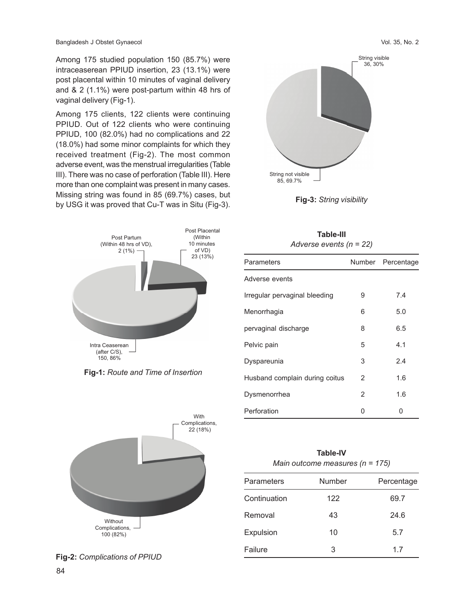Among 175 studied population 150 (85.7%) were intraceaserean PPIUD insertion, 23 (13.1%) were post placental within 10 minutes of vaginal delivery and & 2 (1.1%) were post-partum within 48 hrs of vaginal delivery (Fig-1).

Among 175 clients, 122 clients were continuing PPIUD. Out of 122 clients who were continuing PPIUD, 100 (82.0%) had no complications and 22 (18.0%) had some minor complaints for which they received treatment (Fig-2). The most common adverse event, was the menstrual irregularities (Table III). There was no case of perforation (Table III). Here more than one complaint was present in many cases. Missing string was found in 85 (69.7%) cases, but by USG it was proved that Cu-T was in Situ (Fig-3).



**Fig-1:** *Route and Time of Insertion*



**Fig-2:** *Complications of PPIUD*



**Fig-3:** *String visibility*

**Table-III**

| 1 avit-111<br>Adverse events ( $n = 22$ ) |   |                   |  |
|-------------------------------------------|---|-------------------|--|
| Parameters                                |   | Number Percentage |  |
| Adverse events                            |   |                   |  |
| Irregular pervaginal bleeding             | 9 | 7.4               |  |
| Menorrhagia                               | 6 | 5.0               |  |
| pervaginal discharge                      | 8 | 6.5               |  |
| Pelvic pain                               | 5 | 4.1               |  |
| Dyspareunia                               | 3 | 2.4               |  |
| Husband complain during coitus            | 2 | 1.6               |  |
| Dysmenorrhea                              | 2 | 1.6               |  |

| <b>Table-IV</b><br>Main outcome measures ( $n = 175$ ) |        |            |  |
|--------------------------------------------------------|--------|------------|--|
| Parameters                                             | Number | Percentage |  |
| Continuation                                           | 122    | 69.7       |  |
| Removal                                                | 43     | 24.6       |  |
| Expulsion                                              | 10     | 5.7        |  |
| Failure                                                | 3      | 1.7        |  |

Perforation 0 0 0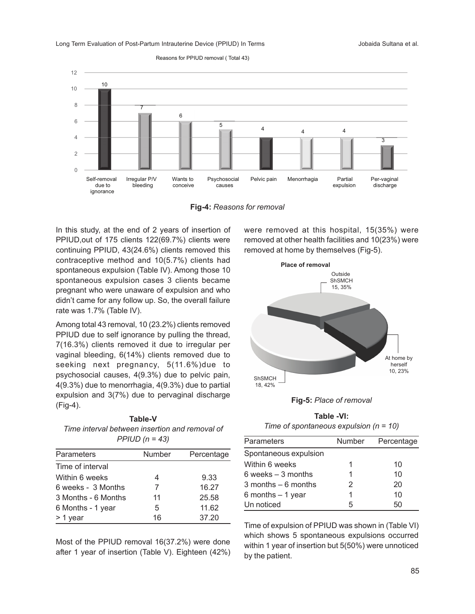Reasons for PPIUD removal ( Total 43)



**Fig-4:** *Reasons for removal*

In this study, at the end of 2 years of insertion of PPIUD,out of 175 clients 122(69.7%) clients were continuing PPIUD, 43(24.6%) clients removed this contraceptive method and 10(5.7%) clients had spontaneous expulsion (Table IV). Among those 10 spontaneous expulsion cases 3 clients became pregnant who were unaware of expulsion and who didn't came for any follow up. So, the overall failure rate was 1.7% (Table IV).

Among total 43 removal, 10 (23.2%) clients removed PPIUD due to self ignorance by pulling the thread, 7(16.3%) clients removed it due to irregular per vaginal bleeding, 6(14%) clients removed due to seeking next pregnancy, 5(11.6%)due to psychosocial causes, 4(9.3%) due to pelvic pain, 4(9.3%) due to menorrhagia, 4(9.3%) due to partial expulsion and 3(7%) due to pervaginal discharge (Fig-4).

**Table-V** *Time interval between insertion and removal of PPIUD (n = 43)*

| Parameters          | Number | Percentage |
|---------------------|--------|------------|
| Time of interval    |        |            |
| Within 6 weeks      | 4      | 9.33       |
| 6 weeks - 3 Months  | 7      | 16.27      |
| 3 Months - 6 Months | 11     | 25.58      |
| 6 Months - 1 year   | 5      | 11.62      |
| > 1 year            | 16     | 37.20      |

Most of the PPIUD removal 16(37.2%) were done after 1 year of insertion (Table V). Eighteen (42%) were removed at this hospital, 15(35%) were removed at other health facilities and 10(23%) were removed at home by themselves (Fig-5).



**Fig-5:** *Place of removal*

**Table -VI:** *Time of spontaneous expulsion (n = 10)*

| Parameters             | Number | Percentage |
|------------------------|--------|------------|
| Spontaneous expulsion  |        |            |
| Within 6 weeks         |        | 10         |
| $6$ weeks $-3$ months  |        | 10         |
| $3$ months $-6$ months | 2      | 20         |
| 6 months $-1$ year     |        | 10         |
| Un noticed             | 5      | 5Ω         |

Time of expulsion of PPIUD was shown in (Table VI) which shows 5 spontaneous expulsions occurred within 1 year of insertion but 5(50%) were unnoticed by the patient.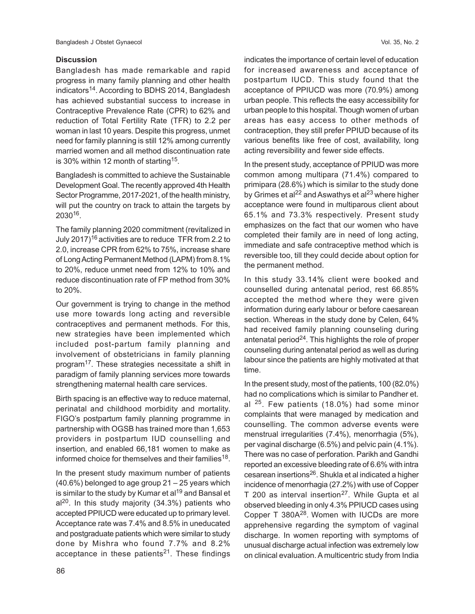## **Discussion**

Bangladesh has made remarkable and rapid progress in many family planning and other health indicators<sup>14</sup>. According to BDHS 2014, Bangladesh has achieved substantial success to increase in Contraceptive Prevalence Rate (CPR) to 62% and reduction of Total Fertility Rate (TFR) to 2.2 per woman in last 10 years. Despite this progress, unmet need for family planning is still 12% among currently married women and all method discontinuation rate is 30% within 12 month of starting<sup>15</sup>.

Bangladesh is committed to achieve the Sustainable Development Goal. The recently approved 4th Health Sector Programme, 2017-2021, of the health ministry, will put the country on track to attain the targets by  $2030^{16}$ .

The family planning 2020 commitment (revitalized in July 2017)<sup>16</sup> activities are to reduce TFR from 2.2 to 2.0, increase CPR from 62% to 75%, increase share of Long Acting Permanent Method (LAPM) from 8.1% to 20%, reduce unmet need from 12% to 10% and reduce discontinuation rate of FP method from 30% to 20%.

Our government is trying to change in the method use more towards long acting and reversible contraceptives and permanent methods. For this, new strategies have been implemented which included post-partum family planning and involvement of obstetricians in family planning program<sup>17</sup>. These strategies necessitate a shift in paradigm of family planning services more towards strengthening maternal health care services.

Birth spacing is an effective way to reduce maternal, perinatal and childhood morbidity and mortality. FIGO's postpartum family planning programme in partnership with OGSB has trained more than 1,653 providers in postpartum IUD counselling and insertion, and enabled 66,181 women to make as informed choice for themselves and their families $^{18}$ .

In the present study maximum number of patients (40.6%) belonged to age group 21 – 25 years which is similar to the study by Kumar et al<sup>19</sup> and Bansal et  $al^{20}$ . In this study majority (34.3%) patients who accepted PPIUCD were educated up to primary level. Acceptance rate was 7.4% and 8.5% in uneducated and postgraduate patients which were similar to study done by Mishra who found 7.7% and 8.2% acceptance in these patients<sup>21</sup>. These findings

indicates the importance of certain level of education for increased awareness and acceptance of postpartum IUCD. This study found that the acceptance of PPIUCD was more (70.9%) among urban people. This reflects the easy accessibility for urban people to this hospital. Though women of urban areas has easy access to other methods of contraception, they still prefer PPIUD because of its various benefits like free of cost, availability, long acting reversibility and fewer side effects.

In the present study, acceptance of PPIUD was more common among multipara (71.4%) compared to primipara (28.6%) which is similar to the study done by Grimes et al<sup>22</sup> and Aswathys et al<sup>23</sup> where higher acceptance were found in multiparous client about 65.1% and 73.3% respectively. Present study emphasizes on the fact that our women who have completed their family are in need of long acting, immediate and safe contraceptive method which is reversible too, till they could decide about option for the permanent method.

In this study 33.14% client were booked and counselled during antenatal period, rest 66.85% accepted the method where they were given information during early labour or before caesarean section. Whereas in the study done by Celen, 64% had received family planning counseling during antenatal period<sup>24</sup>. This highlights the role of proper counseling during antenatal period as well as during labour since the patients are highly motivated at that time.

In the present study, most of the patients, 100 (82.0%) had no complications which is similar to Pandher et. al <sup>25</sup>. Few patients (18.0%) had some minor complaints that were managed by medication and counselling. The common adverse events were menstrual irregularities (7.4%), menorrhagia (5%), per vaginal discharge (6.5%) and pelvic pain (4.1%). There was no case of perforation. Parikh and Gandhi reported an excessive bleeding rate of 6.6% with intra cesarean insertions26. Shukla et al indicated a higher incidence of menorrhagia (27.2%) with use of Copper T 200 as interval insertion $27$ . While Gupta et al observed bleeding in only 4.3% PPIUCD cases using Copper T 380A28. Women with IUCDs are more apprehensive regarding the symptom of vaginal discharge. In women reporting with symptoms of unusual discharge actual infection was extremely low on clinical evaluation. A multicentric study from India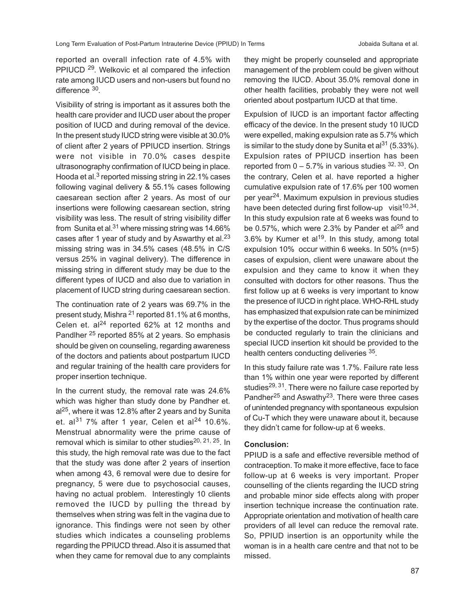reported an overall infection rate of 4.5% with PPIUCD 29. Welkovic et al compared the infection rate among IUCD users and non-users but found no difference <sup>30</sup>.

Visibility of string is important as it assures both the health care provider and IUCD user about the proper position of IUCD and during removal of the device. In the present study IUCD string were visible at 30.0% of client after 2 years of PPIUCD insertion. Strings were not visible in 70.0% cases despite ultrasonography confirmation of IUCD being in place. Hooda et al. $3$  reported missing string in 22.1% cases following vaginal delivery & 55.1% cases following caesarean section after 2 years. As most of our insertions were following caesarean section, string visibility was less. The result of string visibility differ from Sunita et al. $31$  where missing string was 14.66% cases after 1 year of study and by Aswarthy et al. $^{23}$ missing string was in 34.5% cases (48.5% in C/S versus 25% in vaginal delivery). The difference in missing string in different study may be due to the different types of IUCD and also due to variation in placement of IUCD string during caesarean section.

The continuation rate of 2 years was 69.7% in the present study, Mishra 21 reported 81.1% at 6 months, Celen et.  $a^{24}$  reported 62% at 12 months and Pandlher 25 reported 85% at 2 years. So emphasis should be given on counseling, regarding awareness of the doctors and patients about postpartum IUCD and regular training of the health care providers for proper insertion technique.

In the current study, the removal rate was 24.6% which was higher than study done by Pandher et.  $al^{25}$ , where it was 12.8% after 2 years and by Sunita et. al<sup>31</sup> 7% after 1 year, Celen et al<sup>24</sup> 10.6%. Menstrual abnormality were the prime cause of removal which is similar to other studies<sup>20, 21, 25</sup>. In this study, the high removal rate was due to the fact that the study was done after 2 years of insertion when among 43, 6 removal were due to desire for pregnancy, 5 were due to psychosocial causes, having no actual problem. Interestingly 10 clients removed the IUCD by pulling the thread by themselves when string was felt in the vagina due to ignorance. This findings were not seen by other studies which indicates a counseling problems regarding the PPIUCD thread. Also it is assumed that when they came for removal due to any complaints

they might be properly counseled and appropriate management of the problem could be given without removing the IUCD. About 35.0% removal done in other health facilities, probably they were not well oriented about postpartum IUCD at that time.

Expulsion of IUCD is an important factor affecting efficacy of the device. In the present study 10 IUCD were expelled, making expulsion rate as 5.7% which is similar to the study done by Sunita et al $^{31}$  (5.33%). Expulsion rates of PPIUCD insertion has been reported from  $0 - 5.7\%$  in various studies  $32, 33$ . On the contrary, Celen et al. have reported a higher cumulative expulsion rate of 17.6% per 100 women per year24. Maximum expulsion in previous studies have been detected during first follow-up visit<sup>10,34</sup>. In this study expulsion rate at 6 weeks was found to be 0.57%, which were 2.3% by Pander et al<sup>25</sup> and 3.6% by Kumer et al<sup>19</sup>. In this study, among total expulsion 10% occur within 6 weeks. In 50% (n=5) cases of expulsion, client were unaware about the expulsion and they came to know it when they consulted with doctors for other reasons. Thus the first follow up at 6 weeks is very important to know the presence of IUCD in right place. WHO-RHL study has emphasized that expulsion rate can be minimized by the expertise of the doctor. Thus programs should be conducted regularly to train the clinicians and special IUCD insertion kit should be provided to the health centers conducting deliveries <sup>35</sup>.

In this study failure rate was 1.7%. Failure rate less than 1% within one year were reported by different studies<sup>29, 31</sup>. There were no failure case reported by Pandher<sup>25</sup> and Aswathy<sup>23</sup>. There were three cases of unintended pregnancy with spontaneous expulsion of Cu-T which they were unaware about it, because they didn't came for follow-up at 6 weeks.

## **Conclusion:**

PPIUD is a safe and effective reversible method of contraception. To make it more effective, face to face follow-up at 6 weeks is very important. Proper counselling of the clients regarding the IUCD string and probable minor side effects along with proper insertion technique increase the continuation rate. Appropriate orientation and motivation of health care providers of all level can reduce the removal rate. So, PPIUD insertion is an opportunity while the woman is in a health care centre and that not to be missed.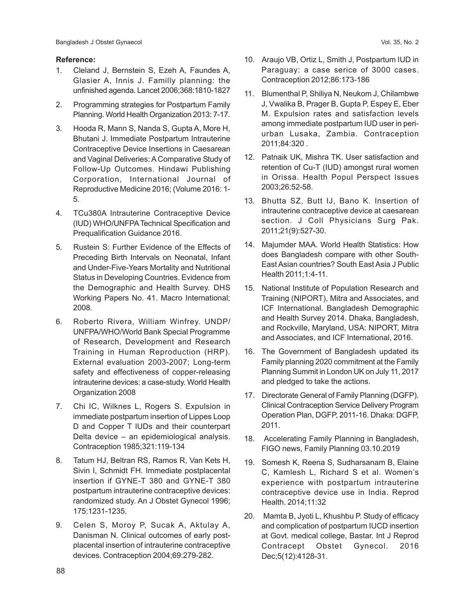### **Reference:**

- 1. Cleland J, Bernstein S, Ezeh A, Faundes A, Glasier A, Innis J. Familly planning: the unfinished agenda. Lancet 2006;368:1810-1827
- 2. Programming strategies for Postpartum Family Planning. World Health Organization 2013: 7-17.
- 3. Hooda R, Mann S, Nanda S, Gupta A, More H, Bhutani J. Immediate Postpartum Intrauterine Contraceptive Device Insertions in Caesarean and Vaginal Deliveries: A Comparative Study of Follow-Up Outcomes. Hindawi Publishing Corporation, International Journal of Reproductive Medicine 2016; (Volume 2016: 1- 5.
- 4. TCu380A Intrauterine Contraceptive Device (IUD) WHO/UNFPA Technical Specification and Prequalification Guidance 2016.
- 5. Rustein S: Further Evidence of the Effects of Preceding Birth Intervals on Neonatal, Infant and Under-Five-Years Mortality and Nutritional Status in Developing Countries. Evidence from the Demographic and Health Survey. DHS Working Papers No. 41. Macro International; 2008.
- 6. Roberto Rivera, William Winfrey. UNDP/ UNFPA/WHO/World Bank Special Programme of Research, Development and Research Training in Human Reproduction (HRP). External evaluation 2003-2007; Long-term safety and effectiveness of copper-releasing intrauterine devices: a case-study. World Health Organization 2008
- 7. Chi IC, Wilknes L, Rogers S. Expulsion in immediate postpartum insertion of Lippes Loop D and Copper T IUDs and their counterpart Delta device – an epidemiological analysis. Contraception 1985;321:119-134
- 8. Tatum HJ, Beltran RS, Ramos R, Van Kets H, Sivin I, Schmidt FH. Immediate postplacental insertion if GYNE-T 380 and GYNE-T 380 postpartum intrauterine contraceptive devices: randomized study. An J Obstet Gynecol 1996; 175:1231-1235.
- 9. Celen S, Moroy P, Sucak A, Aktulay A, Danisman N. Clinical outcomes of early postplacental insertion of intrauterine contraceptive devices. Contraception 2004;69:279-282.
- 10. Araujo VB, Ortiz L, Smith J, Postpartum IUD in Paraguay: a case serice of 3000 cases. Contraception 2012;86:173-186
- 11. Blumenthal P, Shiliya N, Neukom J, Chilambwe J, Vwalika B, Prager B, Gupta P, Espey E, Eber M. Expulsion rates and satisfaction levels among immediate postpartum IUD user in periurban Lusaka, Zambia. Contraception 2011;84:320 .
- 12. Patnaik UK, Mishra TK. User satisfaction and retention of Cu-T (IUD) amongst rural women in Orissa. Health Popul Perspect Issues 2003;26:52-58.
- 13. Bhutta SZ, Butt IJ, Bano K. Insertion of intrauterine contraceptive device at caesarean section. J Coll Physicians Surg Pak. 2011;21(9):527-30.
- 14. Majumder MAA. World Health Statistics: How does Bangladesh compare with other South-East Asian countries? South East Asia J Public Health 2011;1:4-11.
- 15. National Institute of Population Research and Training (NIPORT), Mitra and Associates, and ICF International. Bangladesh Demographic and Health Survey 2014. Dhaka, Bangladesh, and Rockville, Maryland, USA: NIPORT, Mitra and Associates, and ICF International, 2016.
- 16. The Government of Bangladesh updated its Family planning 2020 commitment at the Family Planning Summit in London UK on July 11, 2017 and pledged to take the actions.
- 17. Directorate General of Family Planning (DGFP). Clinical Contraception Service Delivery Program Operation Plan, DGFP, 2011-16. Dhaka: DGFP, 2011.
- 18. Accelerating Family Planning in Bangladesh, FIGO news, Family Planning 03.10.2019
- 19. Somesh K, Reena S, Sudharsanam B, Elaine C, Kamlesh L, Richard S et al. Women's experience with postpartum intrauterine contraceptive device use in India. Reprod Health. 2014;11:32
- 20. Mamta B, Jyoti L, Khushbu P. Study of efficacy and complication of postpartum IUCD insertion at Govt. medical college, Bastar. Int J Reprod Contracept Obstet Gynecol. 2016 Dec;5(12):4128-31.